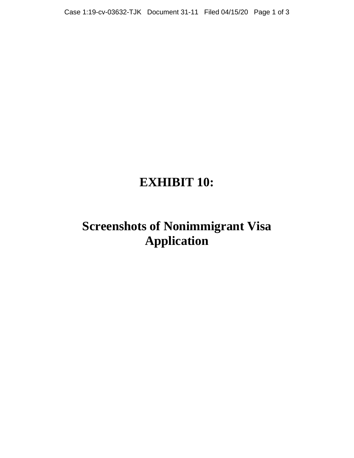## **EXHIBIT 10:**

## **Screenshots of Nonimmigrant Visa Application**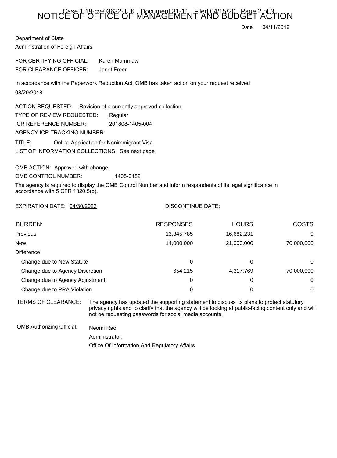## NOTICE OF OFFICE OF MANAGEMENT AND BUDGET ACTION

Date 04/11/2019

Department of State Administration of Foreign Affairs

FOR CERTIFYING OFFICIAL: Karen Mummaw FOR CLEARANCE OFFICER: Janet Freer

In accordance with the Paperwork Reduction Act, OMB has taken action on your request received 08/29/2018

LIST OF INFORMATION COLLECTIONS: See next page ACTION REQUESTED: Revision of a currently approved collection TYPE OF REVIEW REQUESTED: Requiar TITLE: Online Application for Nonimmigrant Visa ICR REFERENCE NUMBER: 201808-1405-004 AGENCY ICR TRACKING NUMBER:

OMB ACTION: Approved with change

OMB CONTROL NUMBER: 1405-0182

The agency is required to display the OMB Control Number and inform respondents of its legal significance in accordance with 5 CFR 1320.5(b).

EXPIRATION DATE: 04/30/2022

## DISCONTINUE DATE:

| <b>BURDEN:</b>                  | <b>RESPONSES</b> | <b>HOURS</b> | <b>COSTS</b> |
|---------------------------------|------------------|--------------|--------------|
| Previous                        | 13,345,785       | 16,682,231   | 0            |
| <b>New</b>                      | 14,000,000       | 21,000,000   | 70,000,000   |
| <b>Difference</b>               |                  |              |              |
| Change due to New Statute       | 0                | 0            | 0            |
| Change due to Agency Discretion | 654.215          | 4,317,769    | 70,000,000   |
| Change due to Agency Adjustment | 0                | 0            | $\Omega$     |
| Change due to PRA Violation     | 0                | 0            | 0            |

TERMS OF CLEARANCE: The agency has updated the supporting statement to discuss its plans to protect statutory privacy rights and to clarify that the agency will be looking at public-facing content only and will not be requesting passwords for social media accounts.

OMB Authorizing Official: Neomi Rao

Administrator,

Office Of Information And Regulatory Affairs